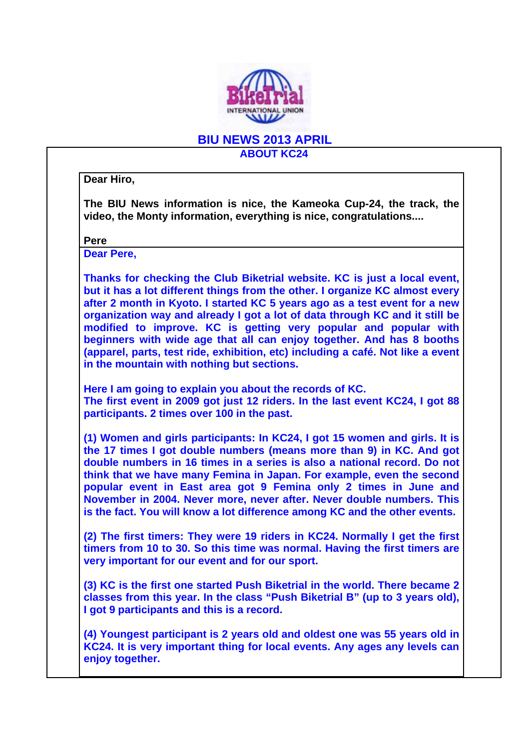

## **BIU NEWS 2013 APRIL ABOUT KC24**

**Dear Hiro,** 

**The BIU News information is nice, the Kameoka Cup-24, the track, the video, the Monty information, everything is nice, congratulations....** 

**Pere** 

**Dear Pere,** 

**Thanks for checking the Club Biketrial website. KC is just a local event, but it has a lot different things from the other. I organize KC almost every after 2 month in Kyoto. I started KC 5 years ago as a test event for a new organization way and already I got a lot of data through KC and it still be modified to improve. KC is getting very popular and popular with beginners with wide age that all can enjoy together. And has 8 booths (apparel, parts, test ride, exhibition, etc) including a café. Not like a event in the mountain with nothing but sections.** 

**Here I am going to explain you about the records of KC. The first event in 2009 got just 12 riders. In the last event KC24, I got 88 participants. 2 times over 100 in the past.** 

**(1) Women and girls participants: In KC24, I got 15 women and girls. It is the 17 times I got double numbers (means more than 9) in KC. And got double numbers in 16 times in a series is also a national record. Do not think that we have many Femina in Japan. For example, even the second popular event in East area got 9 Femina only 2 times in June and November in 2004. Never more, never after. Never double numbers. This is the fact. You will know a lot difference among KC and the other events.** 

**(2) The first timers: They were 19 riders in KC24. Normally I get the first timers from 10 to 30. So this time was normal. Having the first timers are very important for our event and for our sport.** 

**(3) KC is the first one started Push Biketrial in the world. There became 2 classes from this year. In the class "Push Biketrial B" (up to 3 years old), I got 9 participants and this is a record.** 

**(4) Youngest participant is 2 years old and oldest one was 55 years old in KC24. It is very important thing for local events. Any ages any levels can enjoy together.**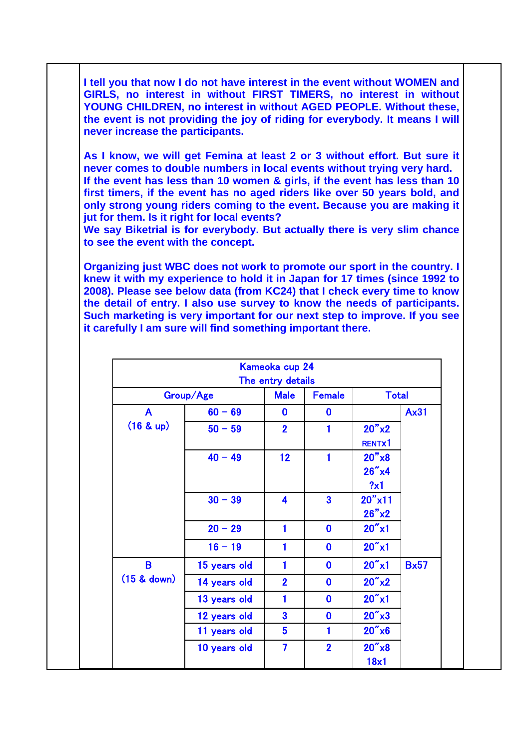**I tell you that now I do not have interest in the event without WOMEN and GIRLS, no interest in without FIRST TIMERS, no interest in without YOUNG CHILDREN, no interest in without AGED PEOPLE. Without these, the event is not providing the joy of riding for everybody. It means I will never increase the participants.** 

**As I know, we will get Femina at least 2 or 3 without effort. But sure it never comes to double numbers in local events without trying very hard. If the event has less than 10 women & girls, if the event has less than 10 first timers, if the event has no aged riders like over 50 years bold, and only strong young riders coming to the event. Because you are making it jut for them. Is it right for local events?** 

**We say Biketrial is for everybody. But actually there is very slim chance to see the event with the concept.** 

**Organizing just WBC does not work to promote our sport in the country. I knew it with my experience to hold it in Japan for 17 times (since 1992 to 2008). Please see below data (from KC24) that I check every time to know the detail of entry. I also use survey to know the needs of participants. Such marketing is very important for our next step to improve. If you see it carefully I am sure will find something important there.** 

|               |              | Kameoka cup 24<br>The entry details |                         |                             |             |
|---------------|--------------|-------------------------------------|-------------------------|-----------------------------|-------------|
|               | Group/Age    | <b>Male</b>                         | <b>Female</b>           | <b>Total</b>                |             |
| A             | $60 - 69$    | $\mathbf 0$                         | $\mathbf 0$             |                             | <b>Ax31</b> |
| (16 & up)     | $50 - 59$    | $\overline{2}$                      | 1                       | 20"x2<br>RENTX1             |             |
|               | $40 - 49$    | 12                                  | $\mathbf{1}$            | 20"x8<br>$26''$ x4<br>?x1   |             |
|               | $30 - 39$    | $\overline{\mathbf{4}}$             | $\overline{\mathbf{3}}$ | $20''$ x11<br>26"x2         |             |
|               | $20 - 29$    | 1                                   | $\boldsymbol{0}$        | $20''$ x1                   |             |
|               | $16 - 19$    | 1                                   | $\mathbf 0$             | $20''$ x1                   |             |
| B             | 15 years old | 1                                   | $\mathbf 0$             | $20''$ x1                   | <b>Bx57</b> |
| $(15$ & down) | 14 years old | $\overline{2}$                      | $\mathbf 0$             | $20''$ x2                   |             |
|               | 13 years old | 1                                   | $\mathbf 0$             | $20''$ x1                   |             |
|               | 12 years old | $\overline{\mathbf{3}}$             | $\mathbf 0$             | $20''$ $\times$ 3           |             |
|               | 11 years old | $5\phantom{1}$                      | 1                       | $20''$ x $6$                |             |
|               | 10 years old | $\overline{\mathbf{z}}$             | $\overline{2}$          | $20''$ $\times$ $8$<br>18x1 |             |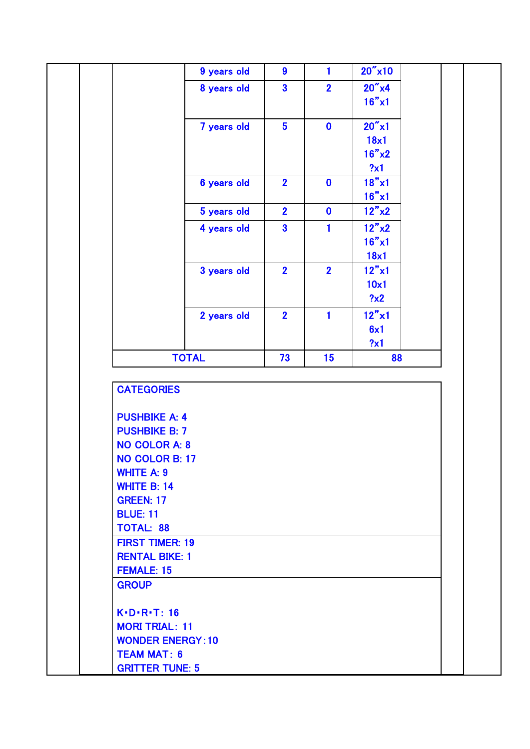| $20''$ x10<br>$\boldsymbol{9}$<br>$\mathbf{1}$<br>9 years old<br>$20''$ x4<br>$\overline{\mathbf{3}}$<br>$\overline{2}$<br>8 years old<br>$16" \times 1$<br>$20''$ x1<br>$5\overline{)}$<br>7 years old<br>$\mathbf 0$<br>18x1<br>16"x2<br>?x1<br>$18" \times 1$<br>$\overline{2}$<br>$\mathbf 0$<br>6 years old<br>16"x1<br>12"x2<br>$\overline{2}$<br>$\mathbf 0$<br>5 years old<br>12"x2<br>$\overline{\mathbf{3}}$<br>4 years old<br>$\mathbf{1}$<br>16"x1<br>18x1<br>$\overline{2}$<br>$12" \times 1$<br>$\overline{2}$<br>3 years old<br>10x1<br>?x2<br>$12" \times 1$<br>$\overline{2}$<br>2 years old<br>$\mathbf{1}$<br>6x1<br>?x1<br><b>TOTAL</b><br>73<br>15<br>88<br><b>CATEGORIES</b><br><b>PUSHBIKE A: 4</b><br><b>PUSHBIKE B: 7</b><br><b>NO COLOR A: 8</b><br>NO COLOR B: 17<br><b>WHITE A: 9</b><br><b>WHITE B: 14</b><br><b>GREEN: 17</b><br><b>BLUE: 11</b><br><b>TOTAL: 88</b><br><b>FIRST TIMER: 19</b><br><b>RENTAL BIKE: 1</b><br><b>FEMALE: 15</b> |                                                                                                    |  |  |  |
|----------------------------------------------------------------------------------------------------------------------------------------------------------------------------------------------------------------------------------------------------------------------------------------------------------------------------------------------------------------------------------------------------------------------------------------------------------------------------------------------------------------------------------------------------------------------------------------------------------------------------------------------------------------------------------------------------------------------------------------------------------------------------------------------------------------------------------------------------------------------------------------------------------------------------------------------------------------------------|----------------------------------------------------------------------------------------------------|--|--|--|
|                                                                                                                                                                                                                                                                                                                                                                                                                                                                                                                                                                                                                                                                                                                                                                                                                                                                                                                                                                            |                                                                                                    |  |  |  |
|                                                                                                                                                                                                                                                                                                                                                                                                                                                                                                                                                                                                                                                                                                                                                                                                                                                                                                                                                                            |                                                                                                    |  |  |  |
|                                                                                                                                                                                                                                                                                                                                                                                                                                                                                                                                                                                                                                                                                                                                                                                                                                                                                                                                                                            |                                                                                                    |  |  |  |
|                                                                                                                                                                                                                                                                                                                                                                                                                                                                                                                                                                                                                                                                                                                                                                                                                                                                                                                                                                            |                                                                                                    |  |  |  |
|                                                                                                                                                                                                                                                                                                                                                                                                                                                                                                                                                                                                                                                                                                                                                                                                                                                                                                                                                                            |                                                                                                    |  |  |  |
|                                                                                                                                                                                                                                                                                                                                                                                                                                                                                                                                                                                                                                                                                                                                                                                                                                                                                                                                                                            |                                                                                                    |  |  |  |
|                                                                                                                                                                                                                                                                                                                                                                                                                                                                                                                                                                                                                                                                                                                                                                                                                                                                                                                                                                            |                                                                                                    |  |  |  |
|                                                                                                                                                                                                                                                                                                                                                                                                                                                                                                                                                                                                                                                                                                                                                                                                                                                                                                                                                                            |                                                                                                    |  |  |  |
|                                                                                                                                                                                                                                                                                                                                                                                                                                                                                                                                                                                                                                                                                                                                                                                                                                                                                                                                                                            |                                                                                                    |  |  |  |
|                                                                                                                                                                                                                                                                                                                                                                                                                                                                                                                                                                                                                                                                                                                                                                                                                                                                                                                                                                            |                                                                                                    |  |  |  |
|                                                                                                                                                                                                                                                                                                                                                                                                                                                                                                                                                                                                                                                                                                                                                                                                                                                                                                                                                                            |                                                                                                    |  |  |  |
|                                                                                                                                                                                                                                                                                                                                                                                                                                                                                                                                                                                                                                                                                                                                                                                                                                                                                                                                                                            |                                                                                                    |  |  |  |
|                                                                                                                                                                                                                                                                                                                                                                                                                                                                                                                                                                                                                                                                                                                                                                                                                                                                                                                                                                            |                                                                                                    |  |  |  |
|                                                                                                                                                                                                                                                                                                                                                                                                                                                                                                                                                                                                                                                                                                                                                                                                                                                                                                                                                                            |                                                                                                    |  |  |  |
|                                                                                                                                                                                                                                                                                                                                                                                                                                                                                                                                                                                                                                                                                                                                                                                                                                                                                                                                                                            |                                                                                                    |  |  |  |
|                                                                                                                                                                                                                                                                                                                                                                                                                                                                                                                                                                                                                                                                                                                                                                                                                                                                                                                                                                            |                                                                                                    |  |  |  |
|                                                                                                                                                                                                                                                                                                                                                                                                                                                                                                                                                                                                                                                                                                                                                                                                                                                                                                                                                                            |                                                                                                    |  |  |  |
|                                                                                                                                                                                                                                                                                                                                                                                                                                                                                                                                                                                                                                                                                                                                                                                                                                                                                                                                                                            |                                                                                                    |  |  |  |
|                                                                                                                                                                                                                                                                                                                                                                                                                                                                                                                                                                                                                                                                                                                                                                                                                                                                                                                                                                            |                                                                                                    |  |  |  |
|                                                                                                                                                                                                                                                                                                                                                                                                                                                                                                                                                                                                                                                                                                                                                                                                                                                                                                                                                                            |                                                                                                    |  |  |  |
|                                                                                                                                                                                                                                                                                                                                                                                                                                                                                                                                                                                                                                                                                                                                                                                                                                                                                                                                                                            |                                                                                                    |  |  |  |
|                                                                                                                                                                                                                                                                                                                                                                                                                                                                                                                                                                                                                                                                                                                                                                                                                                                                                                                                                                            |                                                                                                    |  |  |  |
|                                                                                                                                                                                                                                                                                                                                                                                                                                                                                                                                                                                                                                                                                                                                                                                                                                                                                                                                                                            | <b>GROUP</b><br>$K\cdot D\cdot R\cdot T$ : 16<br><b>MORI TRIAL: 11</b><br><b>WONDER ENERGY: 10</b> |  |  |  |
| <b>TEAM MAT: 6</b>                                                                                                                                                                                                                                                                                                                                                                                                                                                                                                                                                                                                                                                                                                                                                                                                                                                                                                                                                         |                                                                                                    |  |  |  |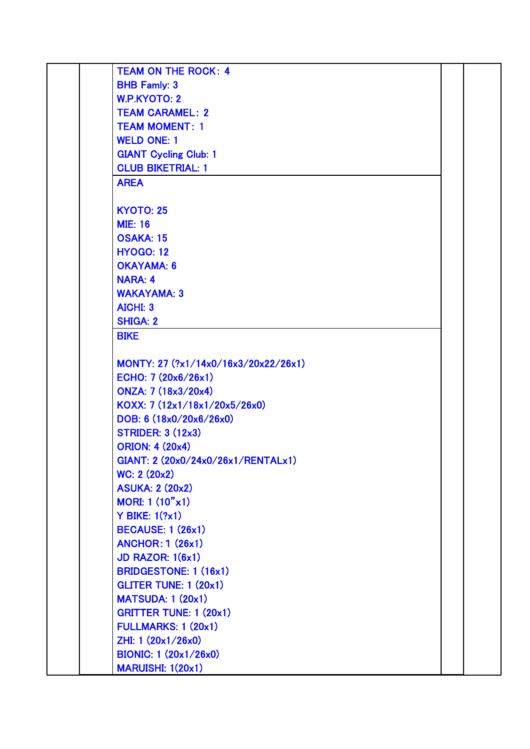| <b>TEAM ON THE ROCK: 4</b>           |  |
|--------------------------------------|--|
| <b>BHB Famly: 3</b>                  |  |
| <b>W.P.KYOTO: 2</b>                  |  |
| <b>TEAM CARAMEL: 2</b>               |  |
| <b>TEAM MOMENT: 1</b>                |  |
| <b>WELD ONE: 1</b>                   |  |
| <b>GIANT Cycling Club: 1</b>         |  |
| <b>CLUB BIKETRIAL: 1</b>             |  |
| <b>AREA</b>                          |  |
|                                      |  |
| <b>KYOTO: 25</b>                     |  |
| <b>MIE: 16</b>                       |  |
| <b>OSAKA: 15</b>                     |  |
| <b>HYOGO: 12</b>                     |  |
| <b>OKAYAMA: 6</b>                    |  |
| <b>NARA: 4</b>                       |  |
| <b>WAKAYAMA: 3</b>                   |  |
| <b>AICHI: 3</b>                      |  |
| <b>SHIGA: 2</b>                      |  |
| <b>BIKE</b>                          |  |
|                                      |  |
| MONTY: 27 (?x1/14x0/16x3/20x22/26x1) |  |
| ECHO: $7(20x6/26x1)$                 |  |
| ONZA: 7 (18x3/20x4)                  |  |
| KOXX: 7 (12x1/18x1/20x5/26x0)        |  |
| DOB: 6 (18x0/20x6/26x0)              |  |
| <b>STRIDER: 3 (12x3)</b>             |  |
| <b>ORION: 4 (20x4)</b>               |  |
| GIANT: 2 (20x0/24x0/26x1/RENTALx1)   |  |
| WC: 2 (20x2)                         |  |
| <b>ASUKA: 2 (20x2)</b>               |  |
| MORI: $1(10"x1)$                     |  |
| $Y$ BIKE: $1$ $(?x1)$                |  |
| <b>BECAUSE: 1 (26x1)</b>             |  |
| <b>ANCHOR: 1 (26x1)</b>              |  |
| <b>JD RAZOR: 1(6x1)</b>              |  |
| <b>BRIDGESTONE: 1 (16x1)</b>         |  |
| <b>GLITER TUNE: 1 (20x1)</b>         |  |
| <b>MATSUDA: 1 (20x1)</b>             |  |
| <b>GRITTER TUNE: 1 (20x1)</b>        |  |
| <b>FULLMARKS: 1 (20x1)</b>           |  |
| ZHI: 1 (20x1/26x0)                   |  |
| <b>BIONIC: 1 (20x1/26x0)</b>         |  |
| <b>MARUISHI: 1(20x1)</b>             |  |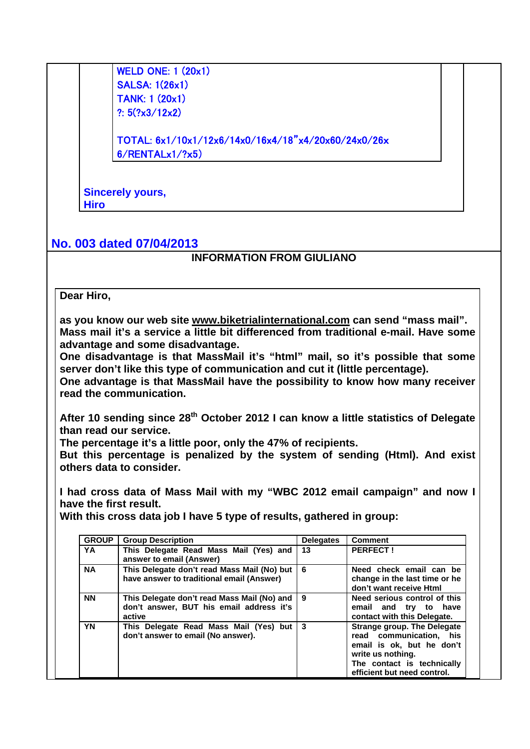WELD ONE: 1 (20x1) SALSA: 1(26x1) TANK: 1 (20x1) ?:  $5$  $(?x3/12x2)$ 

TOTAL: 6x1/10x1/12x6/14x0/16x4/18"x4/20x60/24x0/26x 6/RENTALx1/?x5)

**Sincerely yours, Hiro** 

## **No. 003 dated 07/04/2013**

## **INFORMATION FROM GIULIANO**

## **Dear Hiro,**

**as you know our web site www.biketrialinternational.com can send "mass mail". Mass mail it's a service a little bit differenced from traditional e-mail. Have some advantage and some disadvantage.** 

**One disadvantage is that MassMail it's "html" mail, so it's possible that some server don't like this type of communication and cut it (little percentage).** 

**One advantage is that MassMail have the possibility to know how many receiver read the communication.** 

**After 10 sending since 28th October 2012 I can know a little statistics of Delegate than read our service.** 

**The percentage it's a little poor, only the 47% of recipients.** 

**But this percentage is penalized by the system of sending (Html). And exist others data to consider.** 

**I had cross data of Mass Mail with my "WBC 2012 email campaign" and now I have the first result.** 

**With this cross data job I have 5 type of results, gathered in group:** 

| <b>GROUP</b> | <b>Group Description</b>                                                                          | <b>Delegates</b> | <b>Comment</b>                                                                                                                                                               |
|--------------|---------------------------------------------------------------------------------------------------|------------------|------------------------------------------------------------------------------------------------------------------------------------------------------------------------------|
| <b>YA</b>    | This Delegate Read Mass Mail (Yes) and<br>answer to email (Answer)                                | 13               | <b>PERFECT!</b>                                                                                                                                                              |
| <b>NA</b>    | This Delegate don't read Mass Mail (No) but<br>have answer to traditional email (Answer)          | 6                | Need check email can be<br>change in the last time or he<br>don't want receive Html                                                                                          |
| <b>NN</b>    | This Delegate don't read Mass Mail (No) and<br>don't answer, BUT his email address it's<br>active | 9                | Need serious control of this<br>email and try to have<br>contact with this Delegate.                                                                                         |
| YN           | This Delegate Read Mass Mail (Yes) but<br>don't answer to email (No answer).                      | -3               | <b>Strange group. The Delegate</b><br>read communication. his<br>email is ok, but he don't<br>write us nothing.<br>The contact is technically<br>efficient but need control. |